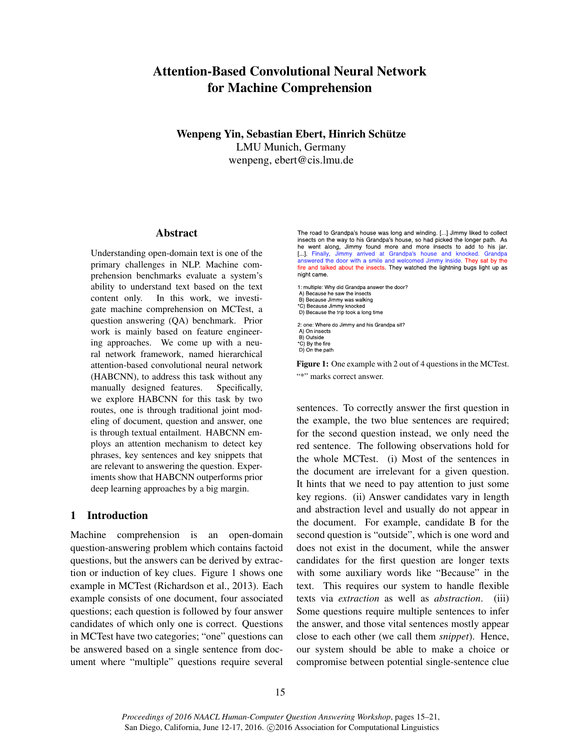# Attention-Based Convolutional Neural Network for Machine Comprehension

Wenpeng Yin, Sebastian Ebert, Hinrich Schütze LMU Munich, Germany wenpeng, ebert@cis.lmu.de

#### Abstract

Understanding open-domain text is one of the primary challenges in NLP. Machine comprehension benchmarks evaluate a system's ability to understand text based on the text content only. In this work, we investigate machine comprehension on MCTest, a question answering (QA) benchmark. Prior work is mainly based on feature engineering approaches. We come up with a neural network framework, named hierarchical attention-based convolutional neural network (HABCNN), to address this task without any manually designed features. Specifically, we explore HABCNN for this task by two routes, one is through traditional joint modeling of document, question and answer, one is through textual entailment. HABCNN employs an attention mechanism to detect key phrases, key sentences and key snippets that are relevant to answering the question. Experiments show that HABCNN outperforms prior deep learning approaches by a big margin.

# 1 Introduction

Machine comprehension is an open-domain question-answering problem which contains factoid questions, but the answers can be derived by extraction or induction of key clues. Figure 1 shows one example in MCTest (Richardson et al., 2013). Each example consists of one document, four associated questions; each question is followed by four answer candidates of which only one is correct. Questions in MCTest have two categories; "one" questions can be answered based on a single sentence from document where "multiple" questions require several

The road to Grandpa's house was long and winding. [...] Jimmy liked to collect insects on the way to his Grandpa's house, so had picked the longer path. As he went along, Jimmy found more and more insects to add to his jar. [...]. Finally, Jimmy arrived at Grandpa's house and knocked. Grandpa answered the door with a smile and welcomed Jimmy inside. They sat by the fire and talked about the insects. They watched the lightning bugs light up as night came.

1: multiple: Why did Grandpa answer the door? A) Because he saw the insects B) Because Jimmy was walking \*C) Because Jimmy knocked D) Because the trip took a long time 2: one: Where do Jimmy and his Grandpa sit? A) On insects B) Outside \*C) By the fire D) On the path

Figure 1: One example with 2 out of 4 questions in the MCTest. "\*" marks correct answer.

sentences. To correctly answer the first question in the example, the two blue sentences are required; for the second question instead, we only need the red sentence. The following observations hold for the whole MCTest. (i) Most of the sentences in the document are irrelevant for a given question. It hints that we need to pay attention to just some key regions. (ii) Answer candidates vary in length and abstraction level and usually do not appear in the document. For example, candidate B for the second question is "outside", which is one word and does not exist in the document, while the answer candidates for the first question are longer texts with some auxiliary words like "Because" in the text. This requires our system to handle flexible texts via *extraction* as well as *abstraction*. (iii) Some questions require multiple sentences to infer the answer, and those vital sentences mostly appear close to each other (we call them *snippet*). Hence, our system should be able to make a choice or compromise between potential single-sentence clue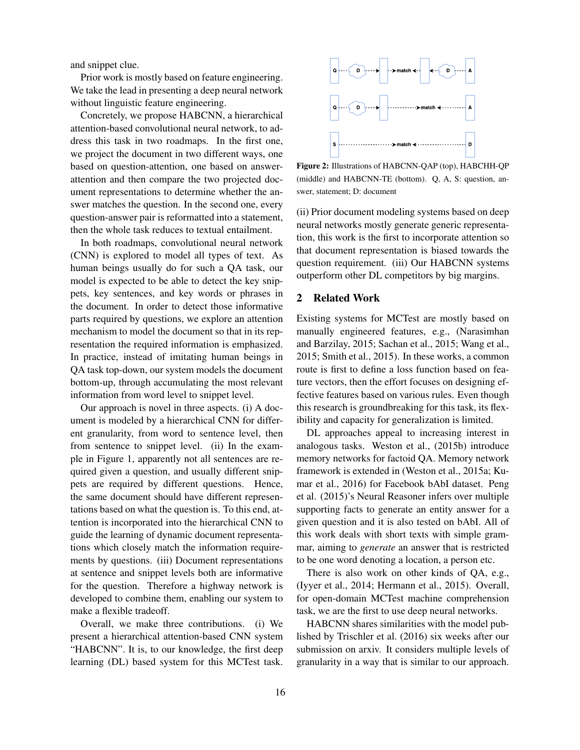and snippet clue.

Prior work is mostly based on feature engineering. We take the lead in presenting a deep neural network without linguistic feature engineering.

Concretely, we propose HABCNN, a hierarchical attention-based convolutional neural network, to address this task in two roadmaps. In the first one, we project the document in two different ways, one based on question-attention, one based on answerattention and then compare the two projected document representations to determine whether the answer matches the question. In the second one, every question-answer pair is reformatted into a statement, then the whole task reduces to textual entailment.

In both roadmaps, convolutional neural network (CNN) is explored to model all types of text. As human beings usually do for such a QA task, our model is expected to be able to detect the key snippets, key sentences, and key words or phrases in the document. In order to detect those informative parts required by questions, we explore an attention mechanism to model the document so that in its representation the required information is emphasized. In practice, instead of imitating human beings in QA task top-down, our system models the document bottom-up, through accumulating the most relevant information from word level to snippet level.

Our approach is novel in three aspects. (i) A document is modeled by a hierarchical CNN for different granularity, from word to sentence level, then from sentence to snippet level. (ii) In the example in Figure 1, apparently not all sentences are required given a question, and usually different snippets are required by different questions. Hence, the same document should have different representations based on what the question is. To this end, attention is incorporated into the hierarchical CNN to guide the learning of dynamic document representations which closely match the information requirements by questions. (iii) Document representations at sentence and snippet levels both are informative for the question. Therefore a highway network is developed to combine them, enabling our system to make a flexible tradeoff.

Overall, we make three contributions. (i) We present a hierarchical attention-based CNN system "HABCNN". It is, to our knowledge, the first deep learning (DL) based system for this MCTest task.



Figure 2: Illustrations of HABCNN-QAP (top), HABCHH-QP (middle) and HABCNN-TE (bottom). Q, A, S: question, answer, statement; D: document

(ii) Prior document modeling systems based on deep neural networks mostly generate generic representation, this work is the first to incorporate attention so that document representation is biased towards the question requirement. (iii) Our HABCNN systems outperform other DL competitors by big margins.

### 2 Related Work

Existing systems for MCTest are mostly based on manually engineered features, e.g., (Narasimhan and Barzilay, 2015; Sachan et al., 2015; Wang et al., 2015; Smith et al., 2015). In these works, a common route is first to define a loss function based on feature vectors, then the effort focuses on designing effective features based on various rules. Even though this research is groundbreaking for this task, its flexibility and capacity for generalization is limited.

DL approaches appeal to increasing interest in analogous tasks. Weston et al., (2015b) introduce memory networks for factoid QA. Memory network framework is extended in (Weston et al., 2015a; Kumar et al., 2016) for Facebook bAbI dataset. Peng et al. (2015)'s Neural Reasoner infers over multiple supporting facts to generate an entity answer for a given question and it is also tested on bAbI. All of this work deals with short texts with simple grammar, aiming to *generate* an answer that is restricted to be one word denoting a location, a person etc.

There is also work on other kinds of QA, e.g., (Iyyer et al., 2014; Hermann et al., 2015). Overall, for open-domain MCTest machine comprehension task, we are the first to use deep neural networks.

HABCNN shares similarities with the model published by Trischler et al. (2016) six weeks after our submission on arxiv. It considers multiple levels of granularity in a way that is similar to our approach.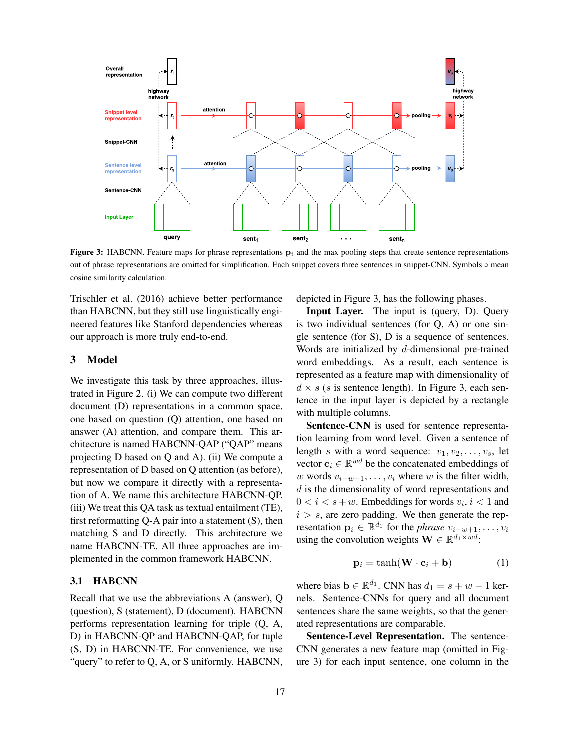

**Figure 3:** HABCNN. Feature maps for phrase representations  $\mathbf{p}_i$  and the max pooling steps that create sentence representations out of phrase representations are omitted for simplification. Each snippet covers three sentences in snippet-CNN. Symbols ◦ mean cosine similarity calculation.

Trischler et al. (2016) achieve better performance than HABCNN, but they still use linguistically engineered features like Stanford dependencies whereas our approach is more truly end-to-end.

### 3 Model

We investigate this task by three approaches, illustrated in Figure 2. (i) We can compute two different document (D) representations in a common space, one based on question (Q) attention, one based on answer (A) attention, and compare them. This architecture is named HABCNN-QAP ("QAP" means projecting D based on Q and A). (ii) We compute a representation of D based on Q attention (as before), but now we compare it directly with a representation of A. We name this architecture HABCNN-QP. (iii) We treat this QA task as textual entailment (TE), first reformatting  $Q$ -A pair into a statement  $(S)$ , then matching S and D directly. This architecture we name HABCNN-TE. All three approaches are implemented in the common framework HABCNN.

# 3.1 HABCNN

Recall that we use the abbreviations A (answer), Q (question), S (statement), D (document). HABCNN performs representation learning for triple (Q, A, D) in HABCNN-QP and HABCNN-QAP, for tuple (S, D) in HABCNN-TE. For convenience, we use "query" to refer to Q, A, or S uniformly. HABCNN,

depicted in Figure 3, has the following phases.

Input Layer. The input is (query, D). Query is two individual sentences (for Q, A) or one single sentence (for S), D is a sequence of sentences. Words are initialized by d-dimensional pre-trained word embeddings. As a result, each sentence is represented as a feature map with dimensionality of  $d \times s$  (s is sentence length). In Figure 3, each sentence in the input layer is depicted by a rectangle with multiple columns.

Sentence-CNN is used for sentence representation learning from word level. Given a sentence of length s with a word sequence:  $v_1, v_2, \ldots, v_s$ , let vector  $\mathbf{c}_i \in \mathbb{R}^{wd}$  be the concatenated embeddings of w words  $v_{i-w+1}, \ldots, v_i$  where w is the filter width,  $d$  is the dimensionality of word representations and  $0 < i < s+w$ . Embeddings for words  $v_i, i < 1$  and  $i > s$ , are zero padding. We then generate the representation  $\mathbf{p}_i \in \mathbb{R}^{d_1}$  for the *phrase*  $v_{i-w+1}, \ldots, v_i$ using the convolution weights  $\mathbf{W} \in \mathbb{R}^{d_1 \times wd}$ :

$$
\mathbf{p}_i = \tanh(\mathbf{W} \cdot \mathbf{c}_i + \mathbf{b}) \tag{1}
$$

where bias  $\mathbf{b} \in \mathbb{R}^{d_1}$ . CNN has  $d_1 = s + w - 1$  kernels. Sentence-CNNs for query and all document sentences share the same weights, so that the generated representations are comparable.

Sentence-Level Representation. The sentence-CNN generates a new feature map (omitted in Figure 3) for each input sentence, one column in the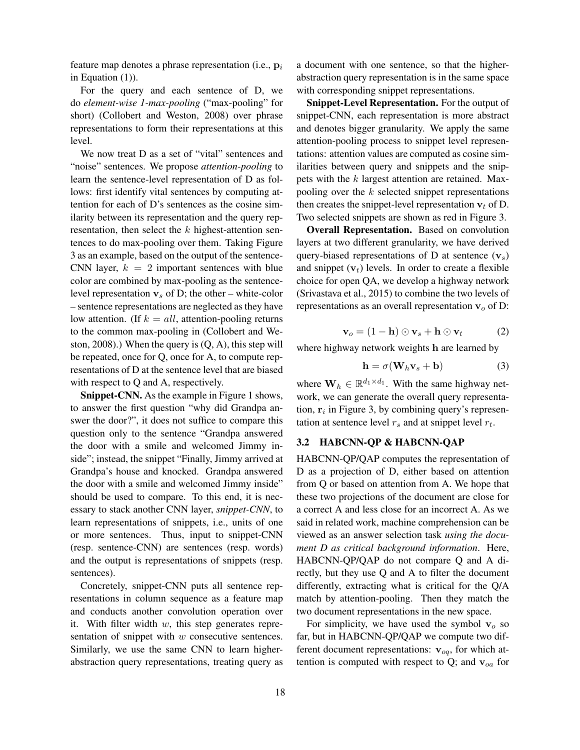feature map denotes a phrase representation (i.e.,  $\mathbf{p}_i$ ) in Equation (1)).

For the query and each sentence of D, we do *element-wise 1-max-pooling* ("max-pooling" for short) (Collobert and Weston, 2008) over phrase representations to form their representations at this level.

We now treat D as a set of "vital" sentences and "noise" sentences. We propose *attention-pooling* to learn the sentence-level representation of D as follows: first identify vital sentences by computing attention for each of D's sentences as the cosine similarity between its representation and the query representation, then select the  $k$  highest-attention sentences to do max-pooling over them. Taking Figure 3 as an example, based on the output of the sentence-CNN layer,  $k = 2$  important sentences with blue color are combined by max-pooling as the sentencelevel representation  $v_s$  of D; the other – white-color – sentence representations are neglected as they have low attention. (If  $k = all$ , attention-pooling returns to the common max-pooling in (Collobert and Weston, 2008).) When the query is  $(Q, A)$ , this step will be repeated, once for Q, once for A, to compute representations of D at the sentence level that are biased with respect to Q and A, respectively.

Snippet-CNN. As the example in Figure 1 shows, to answer the first question "why did Grandpa answer the door?", it does not suffice to compare this question only to the sentence "Grandpa answered the door with a smile and welcomed Jimmy inside"; instead, the snippet "Finally, Jimmy arrived at Grandpa's house and knocked. Grandpa answered the door with a smile and welcomed Jimmy inside" should be used to compare. To this end, it is necessary to stack another CNN layer, *snippet-CNN*, to learn representations of snippets, i.e., units of one or more sentences. Thus, input to snippet-CNN (resp. sentence-CNN) are sentences (resp. words) and the output is representations of snippets (resp. sentences).

Concretely, snippet-CNN puts all sentence representations in column sequence as a feature map and conducts another convolution operation over it. With filter width  $w$ , this step generates representation of snippet with w consecutive sentences. Similarly, we use the same CNN to learn higherabstraction query representations, treating query as a document with one sentence, so that the higherabstraction query representation is in the same space with corresponding snippet representations.

Snippet-Level Representation. For the output of snippet-CNN, each representation is more abstract and denotes bigger granularity. We apply the same attention-pooling process to snippet level representations: attention values are computed as cosine similarities between query and snippets and the snippets with the k largest attention are retained. Maxpooling over the  $k$  selected snippet representations then creates the snippet-level representation  $v_t$  of D. Two selected snippets are shown as red in Figure 3.

Overall Representation. Based on convolution layers at two different granularity, we have derived query-biased representations of D at sentence  $(v<sub>s</sub>)$ and snippet  $(v_t)$  levels. In order to create a flexible choice for open QA, we develop a highway network (Srivastava et al., 2015) to combine the two levels of representations as an overall representation  $v<sub>o</sub>$  of D:

$$
\mathbf{v}_o = (1 - \mathbf{h}) \odot \mathbf{v}_s + \mathbf{h} \odot \mathbf{v}_t \tag{2}
$$

where highway network weights h are learned by

$$
\mathbf{h} = \sigma(\mathbf{W}_h \mathbf{v}_s + \mathbf{b}) \tag{3}
$$

where  $\mathbf{W}_h \in \mathbb{R}^{d_1 \times d_1}$ . With the same highway network, we can generate the overall query representation,  $r_i$  in Figure 3, by combining query's representation at sentence level  $r_s$  and at snippet level  $r_t$ .

# 3.2 HABCNN-QP & HABCNN-QAP

HABCNN-QP/QAP computes the representation of D as a projection of D, either based on attention from Q or based on attention from A. We hope that these two projections of the document are close for a correct A and less close for an incorrect A. As we said in related work, machine comprehension can be viewed as an answer selection task *using the document D as critical background information*. Here, HABCNN-QP/QAP do not compare Q and A directly, but they use Q and A to filter the document differently, extracting what is critical for the Q/A match by attention-pooling. Then they match the two document representations in the new space.

For simplicity, we have used the symbol  $v<sub>o</sub>$  so far, but in HABCNN-QP/QAP we compute two different document representations:  $\mathbf{v}_{oq}$ , for which attention is computed with respect to Q; and  $v_{oa}$  for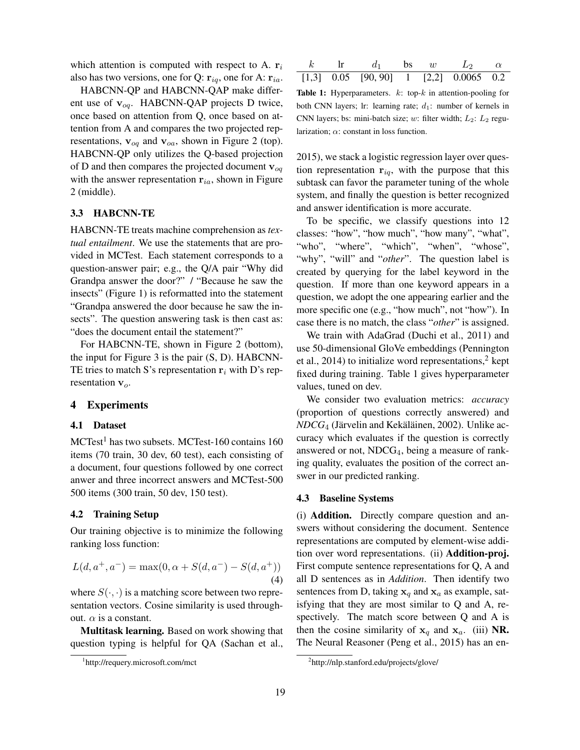which attention is computed with respect to A.  $r_i$ also has two versions, one for Q:  $\mathbf{r}_{iq}$ , one for A:  $\mathbf{r}_{ia}$ .

HABCNN-QP and HABCNN-QAP make different use of  $v_{oq}$ . HABCNN-QAP projects D twice, once based on attention from Q, once based on attention from A and compares the two projected representations,  $v_{oq}$  and  $v_{oa}$ , shown in Figure 2 (top). HABCNN-QP only utilizes the Q-based projection of D and then compares the projected document  $v_{oa}$ with the answer representation  $r_{ia}$ , shown in Figure 2 (middle).

# 3.3 HABCNN-TE

HABCNN-TE treats machine comprehension as *textual entailment*. We use the statements that are provided in MCTest. Each statement corresponds to a question-answer pair; e.g., the Q/A pair "Why did Grandpa answer the door?" / "Because he saw the insects" (Figure 1) is reformatted into the statement "Grandpa answered the door because he saw the insects". The question answering task is then cast as: "does the document entail the statement?"

For HABCNN-TE, shown in Figure 2 (bottom), the input for Figure 3 is the pair (S, D). HABCNN-TE tries to match S's representation  $r_i$  with D's representation  $v<sub>o</sub>$ .

# 4 Experiments

### 4.1 Dataset

 $MCTest<sup>1</sup>$  has two subsets. MCTest-160 contains 160 items (70 train, 30 dev, 60 test), each consisting of a document, four questions followed by one correct anwer and three incorrect answers and MCTest-500 500 items (300 train, 50 dev, 150 test).

### 4.2 Training Setup

Our training objective is to minimize the following ranking loss function:

$$
L(d, a^+, a^-) = \max(0, \alpha + S(d, a^-) - S(d, a^+))
$$
\n(4)

where  $S(\cdot, \cdot)$  is a matching score between two representation vectors. Cosine similarity is used throughout.  $\alpha$  is a constant.

Multitask learning. Based on work showing that question typing is helpful for QA (Sachan et al.,

|  | $d_1$ bs w $L_2$                             |  |  |
|--|----------------------------------------------|--|--|
|  | $[1,3]$ 0.05 $[90, 90]$ 1 $[2,2]$ 0.0065 0.2 |  |  |

**Table 1:** Hyperparameters.  $k$ : top- $k$  in attention-pooling for both CNN layers; lr: learning rate;  $d_1$ : number of kernels in CNN layers; bs: mini-batch size; w: filter width;  $L_2$ :  $L_2$  regularization;  $\alpha$ : constant in loss function.

2015), we stack a logistic regression layer over question representation  $r_{iq}$ , with the purpose that this subtask can favor the parameter tuning of the whole system, and finally the question is better recognized and answer identification is more accurate.

To be specific, we classify questions into 12 classes: "how", "how much", "how many", "what", "who", "where", "which", "when", "whose", "why", "will" and "*other*". The question label is created by querying for the label keyword in the question. If more than one keyword appears in a question, we adopt the one appearing earlier and the more specific one (e.g., "how much", not "how"). In case there is no match, the class "*other*" is assigned.

We train with AdaGrad (Duchi et al., 2011) and use 50-dimensional GloVe embeddings (Pennington et al., 2014) to initialize word representations, $2$  kept fixed during training. Table 1 gives hyperparameter values, tuned on dev.

We consider two evaluation metrics: *accuracy* (proportion of questions correctly answered) and  $NDCG_4$  (Järvelin and Kekäläinen, 2002). Unlike accuracy which evaluates if the question is correctly answered or not,  $NDCG<sub>4</sub>$ , being a measure of ranking quality, evaluates the position of the correct answer in our predicted ranking.

#### 4.3 Baseline Systems

(i) Addition. Directly compare question and answers without considering the document. Sentence representations are computed by element-wise addition over word representations. (ii) Addition-proj. First compute sentence representations for Q, A and all D sentences as in *Addition*. Then identify two sentences from D, taking  $x_a$  and  $x_a$  as example, satisfying that they are most similar to Q and A, respectively. The match score between Q and A is then the cosine similarity of  $x_q$  and  $x_q$ . (iii) NR. The Neural Reasoner (Peng et al., 2015) has an en-

<sup>1</sup> http://requery.microsoft.com/mct

<sup>&</sup>lt;sup>2</sup>http://nlp.stanford.edu/projects/glove/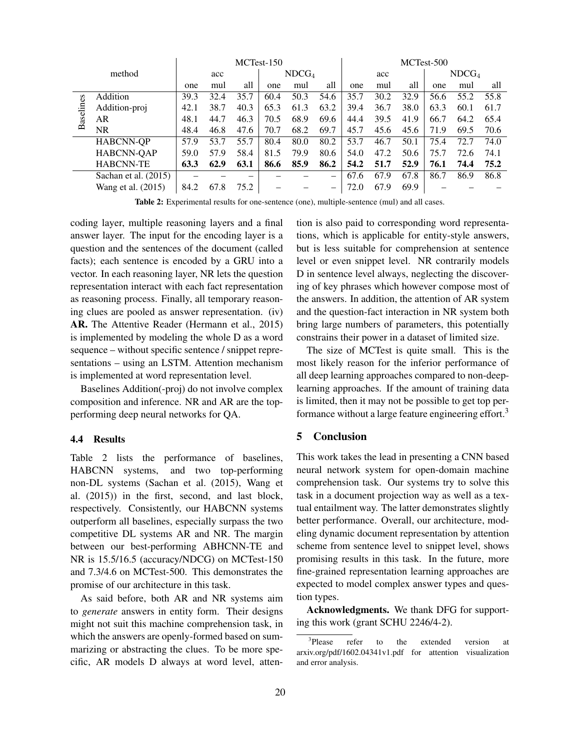|              |                      | MCTest-150 |      |                          |                   | MCTest-500 |      |      |      |                   |      |      |      |
|--------------|----------------------|------------|------|--------------------------|-------------------|------------|------|------|------|-------------------|------|------|------|
| method       |                      | acc        |      |                          | NDCG <sub>4</sub> |            | acc  |      |      | NDCG <sub>4</sub> |      |      |      |
|              |                      | one        | mul  | all                      | one               | mul        | all  | one  | mul  | all               | one  | mul  | all  |
| S<br>Baselin | Addition             | 39.3       | 32.4 | 35.7                     | 60.4              | 50.3       | 54.6 | 35.7 | 30.2 | 32.9              | 56.6 | 55.2 | 55.8 |
|              | Addition-proj        | 42.1       | 38.7 | 40.3                     | 65.3              | 61.3       | 63.2 | 39.4 | 36.7 | 38.0              | 63.3 | 60.1 | 61.7 |
|              | AR                   | 48.1       | 44.7 | 46.3                     | 70.5              | 68.9       | 69.6 | 44.4 | 39.5 | 41.9              | 66.7 | 64.2 | 65.4 |
|              | <b>NR</b>            | 48.4       | 46.8 | 47.6                     | 70.7              | 68.2       | 69.7 | 45.7 | 45.6 | 45.6              | 71.9 | 69.5 | 70.6 |
|              | <b>HABCNN-QP</b>     | 57.9       | 53.7 | 55.7                     | 80.4              | 80.0       | 80.2 | 53.7 | 46.7 | 50.1              | 75.4 | 72.7 | 74.0 |
|              | HABCNN-QAP           | 59.0       | 57.9 | 58.4                     | 81.5              | 79.9       | 80.6 | 54.0 | 47.2 | 50.6              | 75.7 | 72.6 | 74.1 |
|              | <b>HABCNN-TE</b>     | 63.3       | 62.9 | 63.1                     | 86.6              | 85.9       | 86.2 | 54.2 | 51.7 | 52.9              | 76.1 | 74.4 | 75.2 |
|              | Sachan et al. (2015) |            |      | $\overline{\phantom{a}}$ |                   |            | —    | 67.6 | 67.9 | 67.8              | 86.7 | 86.9 | 86.8 |
|              | Wang et al. (2015)   | 84.2       | 67.8 | 75.2                     |                   |            | -    | 72.0 | 67.9 | 69.9              |      |      |      |

Table 2: Experimental results for one-sentence (one), multiple-sentence (mul) and all cases.

coding layer, multiple reasoning layers and a final answer layer. The input for the encoding layer is a question and the sentences of the document (called facts); each sentence is encoded by a GRU into a vector. In each reasoning layer, NR lets the question representation interact with each fact representation as reasoning process. Finally, all temporary reasoning clues are pooled as answer representation. (iv) AR. The Attentive Reader (Hermann et al., 2015) is implemented by modeling the whole D as a word sequence – without specific sentence / snippet representations – using an LSTM. Attention mechanism is implemented at word representation level.

Baselines Addition(-proj) do not involve complex composition and inference. NR and AR are the topperforming deep neural networks for QA.

## 4.4 Results

Table 2 lists the performance of baselines, HABCNN systems, and two top-performing non-DL systems (Sachan et al. (2015), Wang et al. (2015)) in the first, second, and last block, respectively. Consistently, our HABCNN systems outperform all baselines, especially surpass the two competitive DL systems AR and NR. The margin between our best-performing ABHCNN-TE and NR is 15.5/16.5 (accuracy/NDCG) on MCTest-150 and 7.3/4.6 on MCTest-500. This demonstrates the promise of our architecture in this task.

As said before, both AR and NR systems aim to *generate* answers in entity form. Their designs might not suit this machine comprehension task, in which the answers are openly-formed based on summarizing or abstracting the clues. To be more specific, AR models D always at word level, attention is also paid to corresponding word representations, which is applicable for entity-style answers, but is less suitable for comprehension at sentence level or even snippet level. NR contrarily models D in sentence level always, neglecting the discovering of key phrases which however compose most of the answers. In addition, the attention of AR system and the question-fact interaction in NR system both bring large numbers of parameters, this potentially constrains their power in a dataset of limited size.

The size of MCTest is quite small. This is the most likely reason for the inferior performance of all deep learning approaches compared to non-deeplearning approaches. If the amount of training data is limited, then it may not be possible to get top performance without a large feature engineering effort.<sup>3</sup>

## 5 Conclusion

This work takes the lead in presenting a CNN based neural network system for open-domain machine comprehension task. Our systems try to solve this task in a document projection way as well as a textual entailment way. The latter demonstrates slightly better performance. Overall, our architecture, modeling dynamic document representation by attention scheme from sentence level to snippet level, shows promising results in this task. In the future, more fine-grained representation learning approaches are expected to model complex answer types and question types.

Acknowledgments. We thank DFG for supporting this work (grant SCHU 2246/4-2).

<sup>&</sup>lt;sup>3</sup>Please refer to the extended version at arxiv.org/pdf/1602.04341v1.pdf for attention visualization and error analysis.